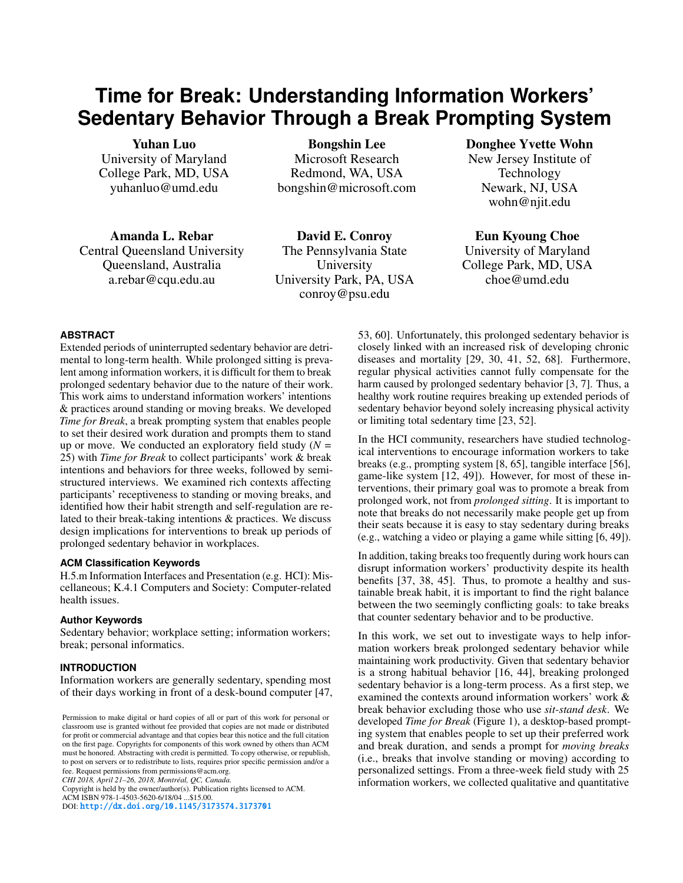# **Time for Break: Understanding Information Workers' Sedentary Behavior Through a Break Prompting System**

Yuhan Luo University of Maryland College Park, MD, USA yuhanluo@umd.edu

Amanda L. Rebar Central Queensland University Queensland, Australia a.rebar@cqu.edu.au

Bongshin Lee Microsoft Research Redmond, WA, USA bongshin@microsoft.com

David E. Conroy The Pennsylvania State University University Park, PA, USA conroy@psu.edu

## Donghee Yvette Wohn New Jersey Institute of Technology Newark, NJ, USA wohn@njit.edu

Eun Kyoung Choe University of Maryland College Park, MD, USA choe@umd.edu

#### **ABSTRACT**

Extended periods of uninterrupted sedentary behavior are detrimental to long-term health. While prolonged sitting is prevalent among information workers, it is difficult for them to break prolonged sedentary behavior due to the nature of their work. This work aims to understand information workers' intentions & practices around standing or moving breaks. We developed *Time for Break*, a break prompting system that enables people to set their desired work duration and prompts them to stand up or move. We conducted an exploratory field study  $(N =$ 25) with *Time for Break* to collect participants' work & break intentions and behaviors for three weeks, followed by semistructured interviews. We examined rich contexts affecting participants' receptiveness to standing or moving breaks, and identified how their habit strength and self-regulation are related to their break-taking intentions & practices. We discuss design implications for interventions to break up periods of prolonged sedentary behavior in workplaces.

#### **ACM Classification Keywords**

H.5.m Information Interfaces and Presentation (e.g. HCI): Miscellaneous; K.4.1 Computers and Society: Computer-related health issues.

#### **Author Keywords**

Sedentary behavior; workplace setting; information workers; break; personal informatics.

#### **INTRODUCTION**

Information workers are generally sedentary, spending most of their days working in front of a desk-bound computer [\[47,](#page-12-0)

*CHI 2018, April 21–26, 2018, Montréal, QC, Canada.*

Copyright is held by the owner/author(s). Publication rights licensed to ACM. ACM ISBN 978-1-4503-5620-6/18/04 ...\$15.00.

DOI: <http://dx.doi.org/10.1145/3173574.3173701>

[53,](#page-12-1) [60\]](#page-12-2). Unfortunately, this prolonged sedentary behavior is closely linked with an increased risk of developing chronic diseases and mortality [\[29,](#page-11-0) [30,](#page-11-1) [41,](#page-11-2) [52,](#page-12-3) [68\]](#page-13-0). Furthermore, regular physical activities cannot fully compensate for the harm caused by prolonged sedentary behavior [\[3,](#page-9-0) [7\]](#page-10-0). Thus, a healthy work routine requires breaking up extended periods of sedentary behavior beyond solely increasing physical activity or limiting total sedentary time [\[23,](#page-10-1) [52\]](#page-12-3).

In the HCI community, researchers have studied technological interventions to encourage information workers to take breaks (e.g., prompting system [\[8,](#page-10-2) [65\]](#page-12-4), tangible interface [\[56\]](#page-12-5), game-like system [\[12,](#page-10-3) [49\]](#page-12-6)). However, for most of these interventions, their primary goal was to promote a break from prolonged work, not from *prolonged sitting*. It is important to note that breaks do not necessarily make people get up from their seats because it is easy to stay sedentary during breaks (e.g., watching a video or playing a game while sitting [\[6,](#page-10-4) [49\]](#page-12-6)).

In addition, taking breaks too frequently during work hours can disrupt information workers' productivity despite its health benefits [\[37,](#page-11-3) [38,](#page-11-4) [45\]](#page-12-7). Thus, to promote a healthy and sustainable break habit, it is important to find the right balance between the two seemingly conflicting goals: to take breaks that counter sedentary behavior and to be productive.

In this work, we set out to investigate ways to help information workers break prolonged sedentary behavior while maintaining work productivity. Given that sedentary behavior is a strong habitual behavior [\[16,](#page-10-5) [44\]](#page-11-5), breaking prolonged sedentary behavior is a long-term process. As a first step, we examined the contexts around information workers' work & break behavior excluding those who use *sit-stand desk*. We developed *Time for Break* (Figure [1\)](#page-1-0), a desktop-based prompting system that enables people to set up their preferred work and break duration, and sends a prompt for *moving breaks* (i.e., breaks that involve standing or moving) according to personalized settings. From a three-week field study with 25 information workers, we collected qualitative and quantitative

Permission to make digital or hard copies of all or part of this work for personal or classroom use is granted without fee provided that copies are not made or distributed for profit or commercial advantage and that copies bear this notice and the full citation on the first page. Copyrights for components of this work owned by others than ACM must be honored. Abstracting with credit is permitted. To copy otherwise, or republish, to post on servers or to redistribute to lists, requires prior specific permission and/or a fee. Request permissions from permissions@acm.org.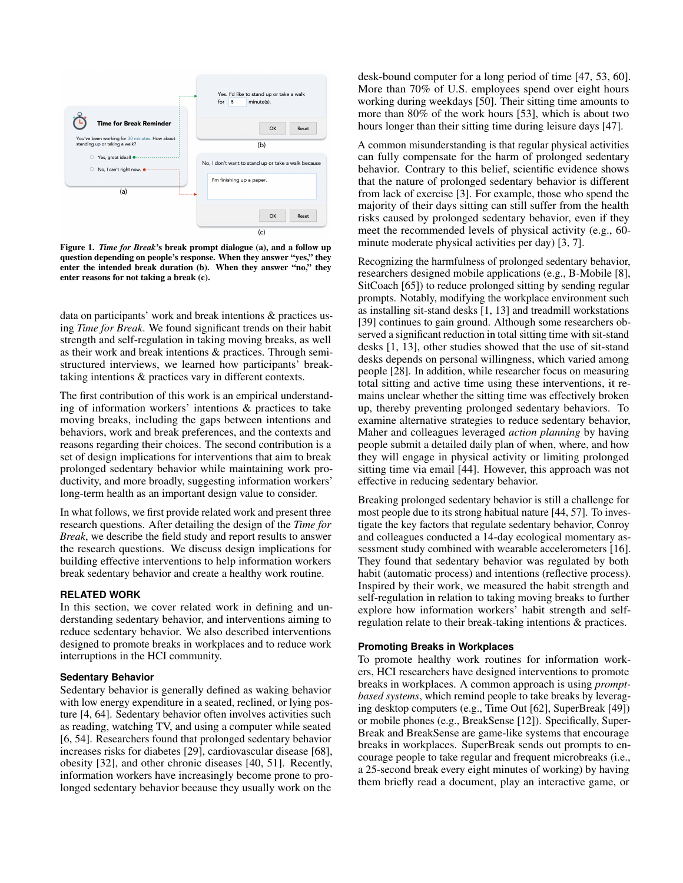

<span id="page-1-0"></span>Figure 1. *Time for Break*'s break prompt dialogue (a), and a follow up question depending on people's response. When they answer "yes," they enter the intended break duration (b). When they answer "no," they enter reasons for not taking a break (c).

data on participants' work and break intentions & practices using *Time for Break*. We found significant trends on their habit strength and self-regulation in taking moving breaks, as well as their work and break intentions & practices. Through semistructured interviews, we learned how participants' breaktaking intentions & practices vary in different contexts.

The first contribution of this work is an empirical understanding of information workers' intentions & practices to take moving breaks, including the gaps between intentions and behaviors, work and break preferences, and the contexts and reasons regarding their choices. The second contribution is a set of design implications for interventions that aim to break prolonged sedentary behavior while maintaining work productivity, and more broadly, suggesting information workers' long-term health as an important design value to consider.

In what follows, we first provide related work and present three research questions. After detailing the design of the *Time for Break*, we describe the field study and report results to answer the research questions. We discuss design implications for building effective interventions to help information workers break sedentary behavior and create a healthy work routine.

#### **RELATED WORK**

In this section, we cover related work in defining and understanding sedentary behavior, and interventions aiming to reduce sedentary behavior. We also described interventions designed to promote breaks in workplaces and to reduce work interruptions in the HCI community.

#### **Sedentary Behavior**

Sedentary behavior is generally defined as waking behavior with low energy expenditure in a seated, reclined, or lying posture [\[4,](#page-9-1) [64\]](#page-12-8). Sedentary behavior often involves activities such as reading, watching TV, and using a computer while seated [\[6,](#page-10-4) [54\]](#page-12-9). Researchers found that prolonged sedentary behavior increases risks for diabetes [\[29\]](#page-11-0), cardiovascular disease [\[68\]](#page-13-0), obesity [\[32\]](#page-11-6), and other chronic diseases [\[40,](#page-11-7) [51\]](#page-12-10). Recently, information workers have increasingly become prone to prolonged sedentary behavior because they usually work on the

desk-bound computer for a long period of time [\[47,](#page-12-0) [53,](#page-12-1) [60\]](#page-12-2). More than 70% of U.S. employees spend over eight hours working during weekdays [\[50\]](#page-12-11). Their sitting time amounts to more than 80% of the work hours [\[53\]](#page-12-1), which is about two hours longer than their sitting time during leisure days [\[47\]](#page-12-0).

A common misunderstanding is that regular physical activities can fully compensate for the harm of prolonged sedentary behavior. Contrary to this belief, scientific evidence shows that the nature of prolonged sedentary behavior is different from lack of exercise [\[3\]](#page-9-0). For example, those who spend the majority of their days sitting can still suffer from the health risks caused by prolonged sedentary behavior, even if they meet the recommended levels of physical activity (e.g., 60 minute moderate physical activities per day) [\[3,](#page-9-0) [7\]](#page-10-0).

Recognizing the harmfulness of prolonged sedentary behavior, researchers designed mobile applications (e.g., B-Mobile [\[8\]](#page-10-2), SitCoach [\[65\]](#page-12-4)) to reduce prolonged sitting by sending regular prompts. Notably, modifying the workplace environment such as installing sit-stand desks [\[1,](#page-9-2) [13\]](#page-10-6) and treadmill workstations [\[39\]](#page-11-8) continues to gain ground. Although some researchers observed a significant reduction in total sitting time with sit-stand desks [\[1,](#page-9-2) [13\]](#page-10-6), other studies showed that the use of sit-stand desks depends on personal willingness, which varied among people [\[28\]](#page-11-9). In addition, while researcher focus on measuring total sitting and active time using these interventions, it remains unclear whether the sitting time was effectively broken up, thereby preventing prolonged sedentary behaviors. To examine alternative strategies to reduce sedentary behavior, Maher and colleagues leveraged *action planning* by having people submit a detailed daily plan of when, where, and how they will engage in physical activity or limiting prolonged sitting time via email [\[44\]](#page-11-5). However, this approach was not effective in reducing sedentary behavior.

Breaking prolonged sedentary behavior is still a challenge for most people due to its strong habitual nature [\[44,](#page-11-5) [57\]](#page-12-12). To investigate the key factors that regulate sedentary behavior, Conroy and colleagues conducted a 14-day ecological momentary assessment study combined with wearable accelerometers [\[16\]](#page-10-5). They found that sedentary behavior was regulated by both habit (automatic process) and intentions (reflective process). Inspired by their work, we measured the habit strength and self-regulation in relation to taking moving breaks to further explore how information workers' habit strength and selfregulation relate to their break-taking intentions & practices.

#### **Promoting Breaks in Workplaces**

To promote healthy work routines for information workers, HCI researchers have designed interventions to promote breaks in workplaces. A common approach is using *promptbased systems*, which remind people to take breaks by leveraging desktop computers (e.g., Time Out [\[62\]](#page-12-13), SuperBreak [\[49\]](#page-12-6)) or mobile phones (e.g., BreakSense [\[12\]](#page-10-3)). Specifically, Super-Break and BreakSense are game-like systems that encourage breaks in workplaces. SuperBreak sends out prompts to encourage people to take regular and frequent microbreaks (i.e., a 25-second break every eight minutes of working) by having them briefly read a document, play an interactive game, or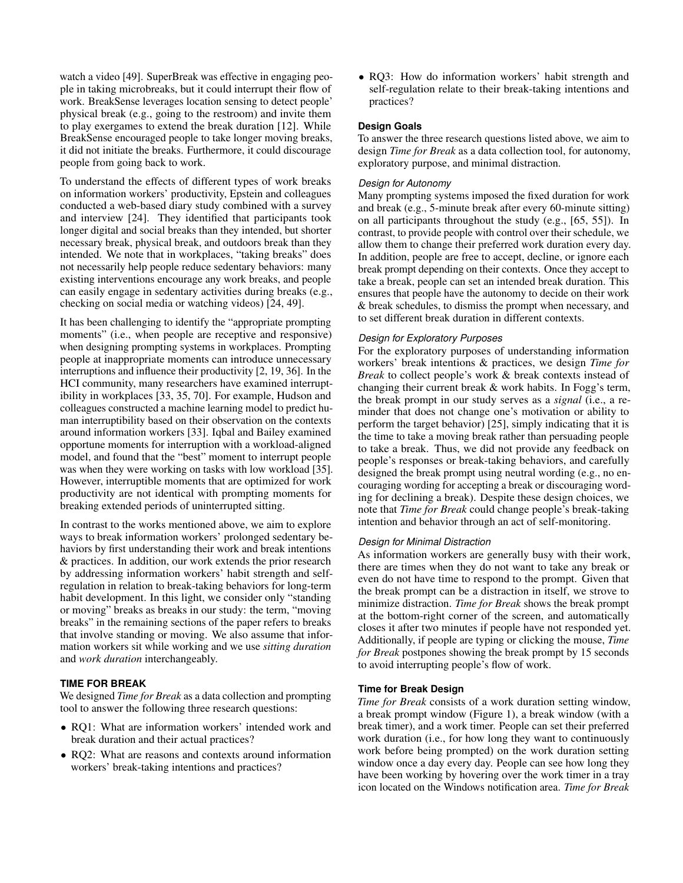watch a video [\[49\]](#page-12-6). SuperBreak was effective in engaging people in taking microbreaks, but it could interrupt their flow of work. BreakSense leverages location sensing to detect people' physical break (e.g., going to the restroom) and invite them to play exergames to extend the break duration [\[12\]](#page-10-3). While BreakSense encouraged people to take longer moving breaks, it did not initiate the breaks. Furthermore, it could discourage people from going back to work.

To understand the effects of different types of work breaks on information workers' productivity, Epstein and colleagues conducted a web-based diary study combined with a survey and interview [\[24\]](#page-10-7). They identified that participants took longer digital and social breaks than they intended, but shorter necessary break, physical break, and outdoors break than they intended. We note that in workplaces, "taking breaks" does not necessarily help people reduce sedentary behaviors: many existing interventions encourage any work breaks, and people can easily engage in sedentary activities during breaks (e.g., checking on social media or watching videos) [\[24,](#page-10-7) [49\]](#page-12-6).

It has been challenging to identify the "appropriate prompting moments" (i.e., when people are receptive and responsive) when designing prompting systems in workplaces. Prompting people at inappropriate moments can introduce unnecessary interruptions and influence their productivity [\[2,](#page-9-3) [19,](#page-10-8) [36\]](#page-11-10). In the HCI community, many researchers have examined interruptibility in workplaces [\[33,](#page-11-11) [35,](#page-11-12) [70\]](#page-13-1). For example, Hudson and colleagues constructed a machine learning model to predict human interruptibility based on their observation on the contexts around information workers [\[33\]](#page-11-11). Iqbal and Bailey examined opportune moments for interruption with a workload-aligned model, and found that the "best" moment to interrupt people was when they were working on tasks with low workload [\[35\]](#page-11-12). However, interruptible moments that are optimized for work productivity are not identical with prompting moments for breaking extended periods of uninterrupted sitting.

In contrast to the works mentioned above, we aim to explore ways to break information workers' prolonged sedentary behaviors by first understanding their work and break intentions & practices. In addition, our work extends the prior research by addressing information workers' habit strength and selfregulation in relation to break-taking behaviors for long-term habit development. In this light, we consider only "standing or moving" breaks as breaks in our study: the term, "moving breaks" in the remaining sections of the paper refers to breaks that involve standing or moving. We also assume that information workers sit while working and we use *sitting duration* and *work duration* interchangeably.

#### **TIME FOR BREAK**

We designed *Time for Break* as a data collection and prompting tool to answer the following three research questions:

- RQ1: What are information workers' intended work and break duration and their actual practices?
- RQ2: What are reasons and contexts around information workers' break-taking intentions and practices?

• RQ3: How do information workers' habit strength and self-regulation relate to their break-taking intentions and practices?

#### **Design Goals**

To answer the three research questions listed above, we aim to design *Time for Break* as a data collection tool, for autonomy, exploratory purpose, and minimal distraction.

#### *Design for Autonomy*

Many prompting systems imposed the fixed duration for work and break (e.g., 5-minute break after every 60-minute sitting) on all participants throughout the study (e.g., [\[65,](#page-12-4) [55\]](#page-12-14)). In contrast, to provide people with control over their schedule, we allow them to change their preferred work duration every day. In addition, people are free to accept, decline, or ignore each break prompt depending on their contexts. Once they accept to take a break, people can set an intended break duration. This ensures that people have the autonomy to decide on their work & break schedules, to dismiss the prompt when necessary, and to set different break duration in different contexts.

#### *Design for Exploratory Purposes*

For the exploratory purposes of understanding information workers' break intentions & practices, we design *Time for Break* to collect people's work & break contexts instead of changing their current break & work habits. In Fogg's term, the break prompt in our study serves as a *signal* (i.e., a reminder that does not change one's motivation or ability to perform the target behavior) [\[25\]](#page-11-13), simply indicating that it is the time to take a moving break rather than persuading people to take a break. Thus, we did not provide any feedback on people's responses or break-taking behaviors, and carefully designed the break prompt using neutral wording (e.g., no encouraging wording for accepting a break or discouraging wording for declining a break). Despite these design choices, we note that *Time for Break* could change people's break-taking intention and behavior through an act of self-monitoring.

#### *Design for Minimal Distraction*

As information workers are generally busy with their work, there are times when they do not want to take any break or even do not have time to respond to the prompt. Given that the break prompt can be a distraction in itself, we strove to minimize distraction. *Time for Break* shows the break prompt at the bottom-right corner of the screen, and automatically closes it after two minutes if people have not responded yet. Additionally, if people are typing or clicking the mouse, *Time for Break* postpones showing the break prompt by 15 seconds to avoid interrupting people's flow of work.

#### **Time for Break Design**

*Time for Break* consists of a work duration setting window, a break prompt window (Figure [1\)](#page-1-0), a break window (with a break timer), and a work timer. People can set their preferred work duration (i.e., for how long they want to continuously work before being prompted) on the work duration setting window once a day every day. People can see how long they have been working by hovering over the work timer in a tray icon located on the Windows notification area. *Time for Break*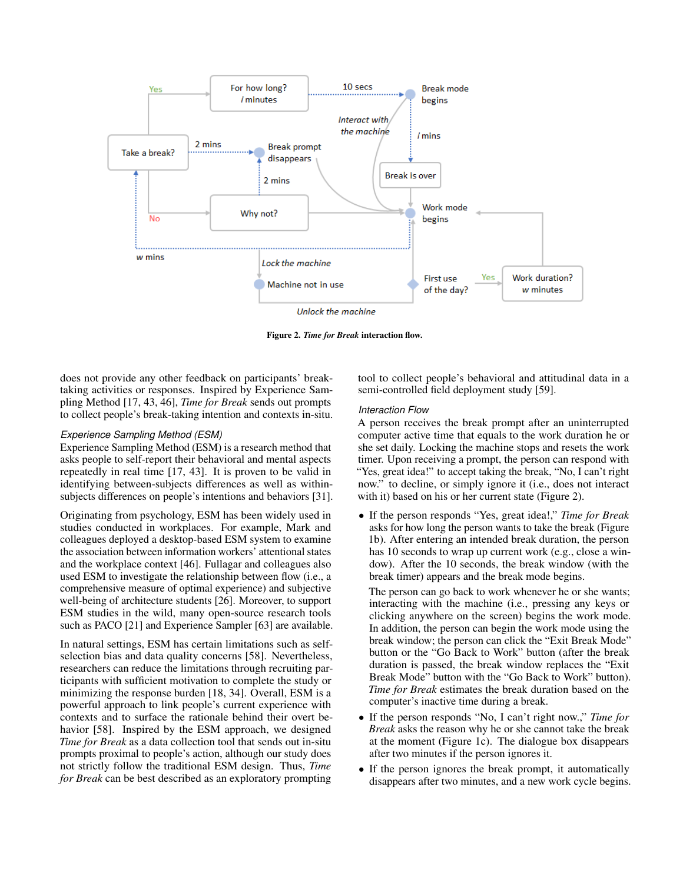

<span id="page-3-0"></span>Figure 2. *Time for Break* interaction flow.

does not provide any other feedback on participants' breaktaking activities or responses. Inspired by Experience Sampling Method [\[17,](#page-10-9) [43,](#page-11-14) [46\]](#page-12-15), *Time for Break* sends out prompts to collect people's break-taking intention and contexts in-situ.

#### *Experience Sampling Method (ESM)*

Experience Sampling Method (ESM) is a research method that asks people to self-report their behavioral and mental aspects repeatedly in real time [\[17,](#page-10-9) [43\]](#page-11-14). It is proven to be valid in identifying between-subjects differences as well as withinsubjects differences on people's intentions and behaviors [\[31\]](#page-11-15).

Originating from psychology, ESM has been widely used in studies conducted in workplaces. For example, Mark and colleagues deployed a desktop-based ESM system to examine the association between information workers' attentional states and the workplace context [\[46\]](#page-12-15). Fullagar and colleagues also used ESM to investigate the relationship between flow (i.e., a comprehensive measure of optimal experience) and subjective well-being of architecture students [\[26\]](#page-11-16). Moreover, to support ESM studies in the wild, many open-source research tools such as PACO [\[21\]](#page-10-10) and Experience Sampler [\[63\]](#page-12-16) are available.

In natural settings, ESM has certain limitations such as selfselection bias and data quality concerns [\[58\]](#page-12-17). Nevertheless, researchers can reduce the limitations through recruiting participants with sufficient motivation to complete the study or minimizing the response burden [\[18,](#page-10-11) [34\]](#page-11-17). Overall, ESM is a powerful approach to link people's current experience with contexts and to surface the rationale behind their overt behavior [\[58\]](#page-12-17). Inspired by the ESM approach, we designed *Time for Break* as a data collection tool that sends out in-situ prompts proximal to people's action, although our study does not strictly follow the traditional ESM design. Thus, *Time for Break* can be best described as an exploratory prompting

tool to collect people's behavioral and attitudinal data in a semi-controlled field deployment study [\[59\]](#page-12-18).

#### *Interaction Flow*

A person receives the break prompt after an uninterrupted computer active time that equals to the work duration he or she set daily. Locking the machine stops and resets the work timer. Upon receiving a prompt, the person can respond with "Yes, great idea!" to accept taking the break, "No, I can't right now." to decline, or simply ignore it (i.e., does not interact with it) based on his or her current state (Figure [2\)](#page-3-0).

• If the person responds "Yes, great idea!," *Time for Break* asks for how long the person wants to take the break (Figure [1b](#page-1-0)). After entering an intended break duration, the person has 10 seconds to wrap up current work (e.g., close a window). After the 10 seconds, the break window (with the break timer) appears and the break mode begins.

The person can go back to work whenever he or she wants; interacting with the machine (i.e., pressing any keys or clicking anywhere on the screen) begins the work mode. In addition, the person can begin the work mode using the break window; the person can click the "Exit Break Mode" button or the "Go Back to Work" button (after the break duration is passed, the break window replaces the "Exit Break Mode" button with the "Go Back to Work" button). *Time for Break* estimates the break duration based on the computer's inactive time during a break.

- If the person responds "No, I can't right now.," *Time for Break* asks the reason why he or she cannot take the break at the moment (Figure [1c](#page-1-0)). The dialogue box disappears after two minutes if the person ignores it.
- If the person ignores the break prompt, it automatically disappears after two minutes, and a new work cycle begins.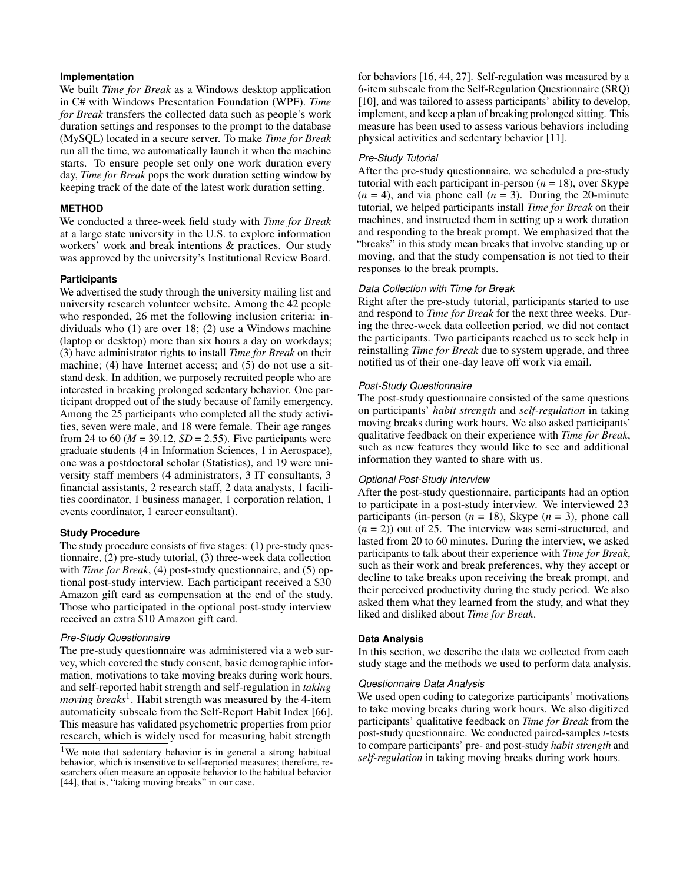#### **Implementation**

We built *Time for Break* as a Windows desktop application in C# with Windows Presentation Foundation (WPF). *Time for Break* transfers the collected data such as people's work duration settings and responses to the prompt to the database (MySQL) located in a secure server. To make *Time for Break* run all the time, we automatically launch it when the machine starts. To ensure people set only one work duration every day, *Time for Break* pops the work duration setting window by keeping track of the date of the latest work duration setting.

#### **METHOD**

We conducted a three-week field study with *Time for Break* at a large state university in the U.S. to explore information workers' work and break intentions & practices. Our study was approved by the university's Institutional Review Board.

#### **Participants**

We advertised the study through the university mailing list and university research volunteer website. Among the 42 people who responded, 26 met the following inclusion criteria: individuals who (1) are over 18; (2) use a Windows machine (laptop or desktop) more than six hours a day on workdays; (3) have administrator rights to install *Time for Break* on their machine; (4) have Internet access; and (5) do not use a sitstand desk. In addition, we purposely recruited people who are interested in breaking prolonged sedentary behavior. One participant dropped out of the study because of family emergency. Among the 25 participants who completed all the study activities, seven were male, and 18 were female. Their age ranges from 24 to 60 ( $M = 39.12$ ,  $SD = 2.55$ ). Five participants were graduate students (4 in Information Sciences, 1 in Aerospace), one was a postdoctoral scholar (Statistics), and 19 were university staff members (4 administrators, 3 IT consultants, 3 financial assistants, 2 research staff, 2 data analysts, 1 facilities coordinator, 1 business manager, 1 corporation relation, 1 events coordinator, 1 career consultant).

#### **Study Procedure**

The study procedure consists of five stages: (1) pre-study questionnaire, (2) pre-study tutorial, (3) three-week data collection with *Time for Break*, (4) post-study questionnaire, and (5) optional post-study interview. Each participant received a \$30 Amazon gift card as compensation at the end of the study. Those who participated in the optional post-study interview received an extra \$10 Amazon gift card.

#### *Pre-Study Questionnaire*

The pre-study questionnaire was administered via a web survey, which covered the study consent, basic demographic information, motivations to take moving breaks during work hours, and self-reported habit strength and self-regulation in *taking moving breaks*[1](#page-4-0) . Habit strength was measured by the 4-item automaticity subscale from the Self-Report Habit Index [\[66\]](#page-12-19). This measure has validated psychometric properties from prior research, which is widely used for measuring habit strength

for behaviors [\[16,](#page-10-5) [44,](#page-11-5) [27\]](#page-11-18). Self-regulation was measured by a 6-item subscale from the Self-Regulation Questionnaire (SRQ) [\[10\]](#page-10-12), and was tailored to assess participants' ability to develop, implement, and keep a plan of breaking prolonged sitting. This measure has been used to assess various behaviors including physical activities and sedentary behavior [\[11\]](#page-10-13).

#### *Pre-Study Tutorial*

After the pre-study questionnaire, we scheduled a pre-study tutorial with each participant in-person  $(n = 18)$ , over Skype  $(n = 4)$ , and via phone call  $(n = 3)$ . During the 20-minute tutorial, we helped participants install *Time for Break* on their machines, and instructed them in setting up a work duration and responding to the break prompt. We emphasized that the "breaks" in this study mean breaks that involve standing up or moving, and that the study compensation is not tied to their responses to the break prompts.

#### *Data Collection with Time for Break*

Right after the pre-study tutorial, participants started to use and respond to *Time for Break* for the next three weeks. During the three-week data collection period, we did not contact the participants. Two participants reached us to seek help in reinstalling *Time for Break* due to system upgrade, and three notified us of their one-day leave off work via email.

#### *Post-Study Questionnaire*

The post-study questionnaire consisted of the same questions on participants' *habit strength* and *self-regulation* in taking moving breaks during work hours. We also asked participants' qualitative feedback on their experience with *Time for Break*, such as new features they would like to see and additional information they wanted to share with us.

#### *Optional Post-Study Interview*

After the post-study questionnaire, participants had an option to participate in a post-study interview. We interviewed 23 participants (in-person ( $n = 18$ ), Skype ( $n = 3$ ), phone call (*n* = 2)) out of 25. The interview was semi-structured, and lasted from 20 to 60 minutes. During the interview, we asked participants to talk about their experience with *Time for Break*, such as their work and break preferences, why they accept or decline to take breaks upon receiving the break prompt, and their perceived productivity during the study period. We also asked them what they learned from the study, and what they liked and disliked about *Time for Break*.

#### **Data Analysis**

In this section, we describe the data we collected from each study stage and the methods we used to perform data analysis.

#### *Questionnaire Data Analysis*

We used open coding to categorize participants' motivations to take moving breaks during work hours. We also digitized participants' qualitative feedback on *Time for Break* from the post-study questionnaire. We conducted paired-samples *t*-tests to compare participants' pre- and post-study *habit strength* and *self-regulation* in taking moving breaks during work hours.

<span id="page-4-0"></span><sup>&</sup>lt;sup>1</sup>We note that sedentary behavior is in general a strong habitual behavior, which is insensitive to self-reported measures; therefore, researchers often measure an opposite behavior to the habitual behavior [\[44\]](#page-11-5), that is, "taking moving breaks" in our case.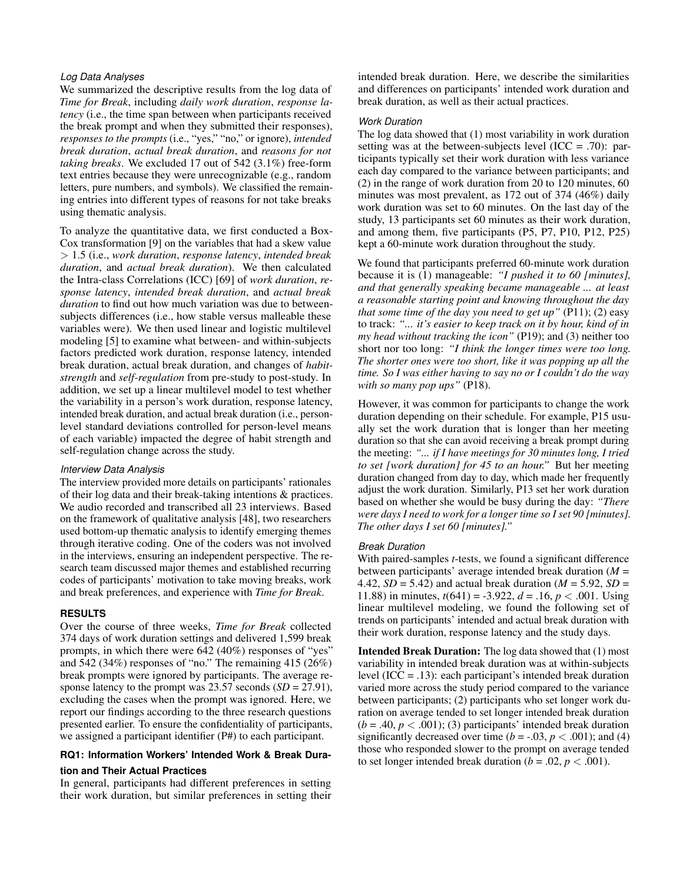#### *Log Data Analyses*

We summarized the descriptive results from the log data of *Time for Break*, including *daily work duration*, *response latency* (i.e., the time span between when participants received the break prompt and when they submitted their responses), *responses to the prompts* (i.e., "yes," "no," or ignore), *intended break duration*, *actual break duration*, and *reasons for not taking breaks*. We excluded 17 out of 542 (3.1%) free-form text entries because they were unrecognizable (e.g., random letters, pure numbers, and symbols). We classified the remaining entries into different types of reasons for not take breaks using thematic analysis.

To analyze the quantitative data, we first conducted a Box-Cox transformation [\[9\]](#page-10-14) on the variables that had a skew value > 1.5 (i.e., *work duration*, *response latency*, *intended break duration*, and *actual break duration*). We then calculated the Intra-class Correlations (ICC) [\[69\]](#page-13-2) of *work duration*, *response latency*, *intended break duration*, and *actual break duration* to find out how much variation was due to betweensubjects differences (i.e., how stable versus malleable these variables were). We then used linear and logistic multilevel modeling [\[5\]](#page-10-15) to examine what between- and within-subjects factors predicted work duration, response latency, intended break duration, actual break duration, and changes of *habitstrength* and *self-regulation* from pre-study to post-study. In addition, we set up a linear multilevel model to test whether the variability in a person's work duration, response latency, intended break duration, and actual break duration (i.e., personlevel standard deviations controlled for person-level means of each variable) impacted the degree of habit strength and self-regulation change across the study.

#### *Interview Data Analysis*

The interview provided more details on participants' rationales of their log data and their break-taking intentions & practices. We audio recorded and transcribed all 23 interviews. Based on the framework of qualitative analysis [\[48\]](#page-12-20), two researchers used bottom-up thematic analysis to identify emerging themes through iterative coding. One of the coders was not involved in the interviews, ensuring an independent perspective. The research team discussed major themes and established recurring codes of participants' motivation to take moving breaks, work and break preferences, and experience with *Time for Break*.

#### **RESULTS**

Over the course of three weeks, *Time for Break* collected 374 days of work duration settings and delivered 1,599 break prompts, in which there were 642 (40%) responses of "yes" and  $542$  (34%) responses of "no." The remaining  $415$  (26%) break prompts were ignored by participants. The average response latency to the prompt was  $23.57$  seconds  $(SD = 27.91)$ , excluding the cases when the prompt was ignored. Here, we report our findings according to the three research questions presented earlier. To ensure the confidentiality of participants, we assigned a participant identifier (P#) to each participant.

## **RQ1: Information Workers' Intended Work & Break Dura-**

#### **tion and Their Actual Practices**

In general, participants had different preferences in setting their work duration, but similar preferences in setting their intended break duration. Here, we describe the similarities and differences on participants' intended work duration and break duration, as well as their actual practices.

#### *Work Duration*

The log data showed that (1) most variability in work duration setting was at the between-subjects level (ICC = .70): participants typically set their work duration with less variance each day compared to the variance between participants; and (2) in the range of work duration from 20 to 120 minutes, 60 minutes was most prevalent, as 172 out of 374 (46%) daily work duration was set to 60 minutes. On the last day of the study, 13 participants set 60 minutes as their work duration, and among them, five participants (P5, P7, P10, P12, P25) kept a 60-minute work duration throughout the study.

We found that participants preferred 60-minute work duration because it is (1) manageable: *"I pushed it to 60 [minutes], and that generally speaking became manageable ... at least a reasonable starting point and knowing throughout the day that some time of the day you need to get up"* (P11); (2) easy to track: *"... it's easier to keep track on it by hour, kind of in my head without tracking the icon"* (P19); and (3) neither too short nor too long: *"I think the longer times were too long. The shorter ones were too short, like it was popping up all the time. So I was either having to say no or I couldn't do the way with so many pop ups"* (P18).

However, it was common for participants to change the work duration depending on their schedule. For example, P15 usually set the work duration that is longer than her meeting duration so that she can avoid receiving a break prompt during the meeting: *"... if I have meetings for 30 minutes long, I tried to set [work duration] for 45 to an hour."* But her meeting duration changed from day to day, which made her frequently adjust the work duration. Similarly, P13 set her work duration based on whether she would be busy during the day: *"There were days I need to work for a longer time so I set 90 [minutes]. The other days I set 60 [minutes]."*

#### *Break Duration*

With paired-samples *t*-tests, we found a significant difference between participants' average intended break duration (*M* = 4.42,  $SD = 5.42$ ) and actual break duration ( $M = 5.92$ ,  $SD =$ 11.88) in minutes,  $t(641) = -3.922$ ,  $d = .16$ ,  $p < .001$ . Using linear multilevel modeling, we found the following set of trends on participants' intended and actual break duration with their work duration, response latency and the study days.

Intended Break Duration: The log data showed that (1) most variability in intended break duration was at within-subjects level (ICC = .13): each participant's intended break duration varied more across the study period compared to the variance between participants; (2) participants who set longer work duration on average tended to set longer intended break duration  $(b = .40, p < .001)$ ; (3) participants' intended break duration significantly decreased over time ( $b = -0.03$ ,  $p < .001$ ); and (4) those who responded slower to the prompt on average tended to set longer intended break duration ( $b = .02$ ,  $p < .001$ ).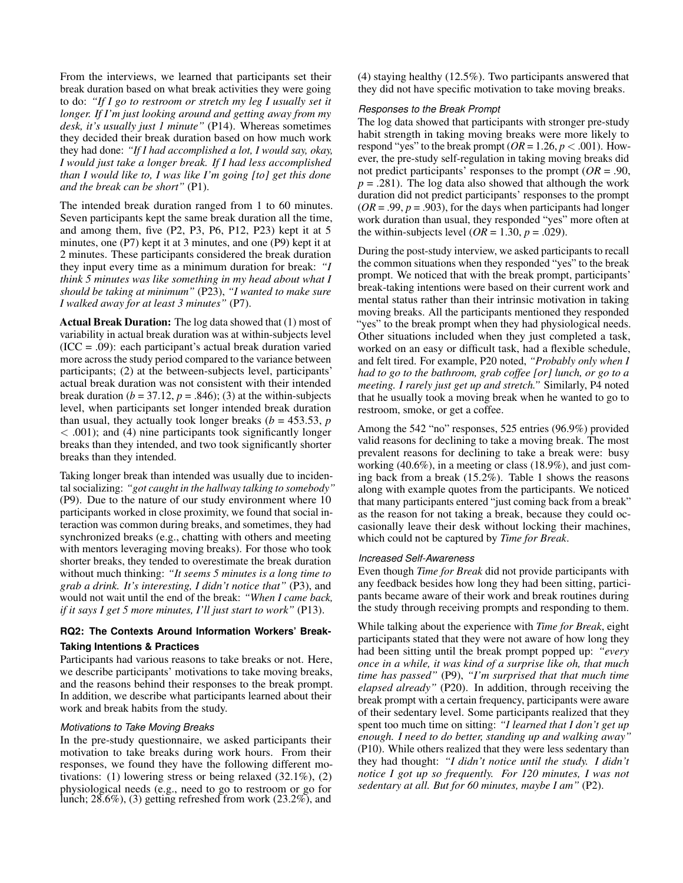From the interviews, we learned that participants set their break duration based on what break activities they were going to do: *"If I go to restroom or stretch my leg I usually set it longer. If I'm just looking around and getting away from my desk, it's usually just 1 minute"* (P14). Whereas sometimes they decided their break duration based on how much work they had done: *"If I had accomplished a lot, I would say, okay, I would just take a longer break. If I had less accomplished than I would like to, I was like I'm going [to] get this done and the break can be short"* (P1).

The intended break duration ranged from 1 to 60 minutes. Seven participants kept the same break duration all the time, and among them, five (P2, P3, P6, P12, P23) kept it at 5 minutes, one (P7) kept it at 3 minutes, and one (P9) kept it at 2 minutes. These participants considered the break duration they input every time as a minimum duration for break: *"I think 5 minutes was like something in my head about what I should be taking at minimum"* (P23), *"I wanted to make sure I walked away for at least 3 minutes"* (P7).

Actual Break Duration: The log data showed that (1) most of variability in actual break duration was at within-subjects level  $(ICC = .09)$ : each participant's actual break duration varied more across the study period compared to the variance between participants; (2) at the between-subjects level, participants' actual break duration was not consistent with their intended break duration ( $b = 37.12$ ,  $p = .846$ ); (3) at the within-subjects level, when participants set longer intended break duration than usual, they actually took longer breaks  $(b = 453.53, p)$  $<$  0.01); and (4) nine participants took significantly longer breaks than they intended, and two took significantly shorter breaks than they intended.

Taking longer break than intended was usually due to incidental socializing: *"got caught in the hallway talking to somebody"* (P9). Due to the nature of our study environment where 10 participants worked in close proximity, we found that social interaction was common during breaks, and sometimes, they had synchronized breaks (e.g., chatting with others and meeting with mentors leveraging moving breaks). For those who took shorter breaks, they tended to overestimate the break duration without much thinking: *"It seems 5 minutes is a long time to grab a drink. It's interesting, I didn't notice that"* (P3), and would not wait until the end of the break: *"When I came back, if it says I get 5 more minutes, I'll just start to work"* (P13).

## **RQ2: The Contexts Around Information Workers' Break-Taking Intentions & Practices**

Participants had various reasons to take breaks or not. Here, we describe participants' motivations to take moving breaks, and the reasons behind their responses to the break prompt. In addition, we describe what participants learned about their work and break habits from the study.

#### *Motivations to Take Moving Breaks*

In the pre-study questionnaire, we asked participants their motivation to take breaks during work hours. From their responses, we found they have the following different motivations: (1) lowering stress or being relaxed (32.1%), (2) physiological needs (e.g., need to go to restroom or go for lunch; 28.6%), (3) getting refreshed from work (23.2%), and

(4) staying healthy (12.5%). Two participants answered that they did not have specific motivation to take moving breaks.

#### *Responses to the Break Prompt*

The log data showed that participants with stronger pre-study habit strength in taking moving breaks were more likely to respond "yes" to the break prompt ( $OR = 1.26$ ,  $p < .001$ ). However, the pre-study self-regulation in taking moving breaks did not predict participants' responses to the prompt (*OR* = .90,  $p = .281$ ). The log data also showed that although the work duration did not predict participants' responses to the prompt  $(OR = .99, p = .903)$ , for the days when participants had longer work duration than usual, they responded "yes" more often at the within-subjects level ( $OR = 1.30$ ,  $p = .029$ ).

During the post-study interview, we asked participants to recall the common situations when they responded "yes" to the break prompt. We noticed that with the break prompt, participants' break-taking intentions were based on their current work and mental status rather than their intrinsic motivation in taking moving breaks. All the participants mentioned they responded "yes" to the break prompt when they had physiological needs. Other situations included when they just completed a task, worked on an easy or difficult task, had a flexible schedule, and felt tired. For example, P20 noted, *"Probably only when I had to go to the bathroom, grab coffee [or] lunch, or go to a meeting. I rarely just get up and stretch."* Similarly, P4 noted that he usually took a moving break when he wanted to go to restroom, smoke, or get a coffee.

Among the 542 "no" responses, 525 entries (96.9%) provided valid reasons for declining to take a moving break. The most prevalent reasons for declining to take a break were: busy working (40.6%), in a meeting or class (18.9%), and just coming back from a break (15.2%). Table [1](#page-7-0) shows the reasons along with example quotes from the participants. We noticed that many participants entered "just coming back from a break" as the reason for not taking a break, because they could occasionally leave their desk without locking their machines, which could not be captured by *Time for Break*.

#### *Increased Self-Awareness*

Even though *Time for Break* did not provide participants with any feedback besides how long they had been sitting, participants became aware of their work and break routines during the study through receiving prompts and responding to them.

While talking about the experience with *Time for Break*, eight participants stated that they were not aware of how long they had been sitting until the break prompt popped up: *"every once in a while, it was kind of a surprise like oh, that much time has passed"* (P9), *"I'm surprised that that much time elapsed already"* (P20). In addition, through receiving the break prompt with a certain frequency, participants were aware of their sedentary level. Some participants realized that they spent too much time on sitting: *"I learned that I don't get up enough. I need to do better, standing up and walking away"* (P10). While others realized that they were less sedentary than they had thought: *"I didn't notice until the study. I didn't notice I got up so frequently. For 120 minutes, I was not sedentary at all. But for 60 minutes, maybe I am"* (P2).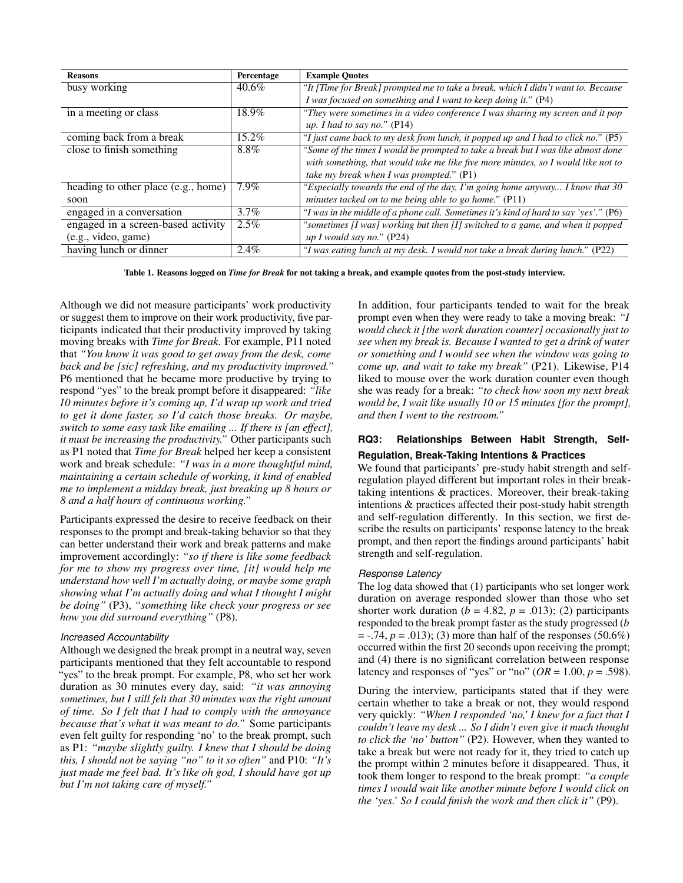| <b>Reasons</b>                      | Percentage | <b>Example Ouotes</b>                                                                 |
|-------------------------------------|------------|---------------------------------------------------------------------------------------|
| busy working                        | $40.6\%$   | "It [Time for Break] prompted me to take a break, which I didn't want to. Because     |
|                                     |            | I was focused on something and I want to keep doing it." (P4)                         |
| in a meeting or class               | 18.9%      | "They were sometimes in a video conference I was sharing my screen and it pop         |
|                                     |            | up. I had to say no." $(P14)$                                                         |
| coming back from a break            | $15.2\%$   | "I just came back to my desk from lunch, it popped up and I had to click no." (P5)    |
| close to finish something           | 8.8%       | "Some of the times I would be prompted to take a break but I was like almost done     |
|                                     |            | with something, that would take me like five more minutes, so I would like not to     |
|                                     |            | take my break when I was prompted." (P1)                                              |
| heading to other place (e.g., home) | $7.9\%$    | "Especially towards the end of the day, I'm going home anyway I know that 30          |
| soon                                |            | minutes tacked on to me being able to go home." (P11)                                 |
| engaged in a conversation           | $3.7\%$    | "I was in the middle of a phone call. Sometimes it's kind of hard to say 'yes'." (P6) |
| engaged in a screen-based activity  | 2.5%       | "sometimes [I was] working but then [I] switched to a game, and when it popped        |
| (e.g., video, game)                 |            | up I would say no." $(P24)$                                                           |
| having lunch or dinner              | $2.4\%$    | "I was eating lunch at my desk. I would not take a break during lunch." (P22)         |

<span id="page-7-0"></span>Table 1. Reasons logged on *Time for Break* for not taking a break, and example quotes from the post-study interview.

Although we did not measure participants' work productivity or suggest them to improve on their work productivity, five participants indicated that their productivity improved by taking moving breaks with *Time for Break*. For example, P11 noted that *"You know it was good to get away from the desk, come back and be [sic] refreshing, and my productivity improved."* P6 mentioned that he became more productive by trying to respond "yes" to the break prompt before it disappeared: *"like 10 minutes before it's coming up, I'd wrap up work and tried to get it done faster, so I'd catch those breaks. Or maybe, switch to some easy task like emailing ... If there is [an effect], it must be increasing the productivity."* Other participants such as P1 noted that *Time for Break* helped her keep a consistent work and break schedule: *"I was in a more thoughtful mind, maintaining a certain schedule of working, it kind of enabled me to implement a midday break, just breaking up 8 hours or 8 and a half hours of continuous working."*

Participants expressed the desire to receive feedback on their responses to the prompt and break-taking behavior so that they can better understand their work and break patterns and make improvement accordingly: *"so if there is like some feedback for me to show my progress over time, [it] would help me understand how well I'm actually doing, or maybe some graph showing what I'm actually doing and what I thought I might be doing"* (P3), *"something like check your progress or see how you did surround everything"* (P8).

#### *Increased Accountability*

Although we designed the break prompt in a neutral way, seven participants mentioned that they felt accountable to respond "yes" to the break prompt. For example, P8, who set her work duration as 30 minutes every day, said: *"it was annoying sometimes, but I still felt that 30 minutes was the right amount of time. So I felt that I had to comply with the annoyance because that's what it was meant to do."* Some participants even felt guilty for responding 'no' to the break prompt, such as P1: *"maybe slightly guilty. I knew that I should be doing this, I should not be saying "no" to it so often"* and P10: *"It's just made me feel bad. It's like oh god, I should have got up but I'm not taking care of myself."*

In addition, four participants tended to wait for the break prompt even when they were ready to take a moving break: *"I would check it [the work duration counter] occasionally just to see when my break is. Because I wanted to get a drink of water or something and I would see when the window was going to come up, and wait to take my break"* (P21). Likewise, P14 liked to mouse over the work duration counter even though she was ready for a break: *"to check how soon my next break would be, I wait like usually 10 or 15 minutes [for the prompt], and then I went to the restroom."*

### **RQ3: Relationships Between Habit Strength, Self-**

#### **Regulation, Break-Taking Intentions & Practices**

We found that participants' pre-study habit strength and selfregulation played different but important roles in their breaktaking intentions & practices. Moreover, their break-taking intentions & practices affected their post-study habit strength and self-regulation differently. In this section, we first describe the results on participants' response latency to the break prompt, and then report the findings around participants' habit strength and self-regulation.

#### *Response Latency*

The log data showed that (1) participants who set longer work duration on average responded slower than those who set shorter work duration ( $b = 4.82$ ,  $p = .013$ ); (2) participants responded to the break prompt faster as the study progressed (*b*  $=$  -.74,  $p = .013$ ; (3) more than half of the responses (50.6%) occurred within the first 20 seconds upon receiving the prompt; and (4) there is no significant correlation between response latency and responses of "yes" or "no"  $(OR = 1.00, p = .598)$ .

During the interview, participants stated that if they were certain whether to take a break or not, they would respond very quickly: *"When I responded 'no,' I knew for a fact that I couldn't leave my desk ... So I didn't even give it much thought to click the 'no' button"* (P2). However, when they wanted to take a break but were not ready for it, they tried to catch up the prompt within 2 minutes before it disappeared. Thus, it took them longer to respond to the break prompt: *"a couple times I would wait like another minute before I would click on the 'yes.' So I could finish the work and then click it"* (P9).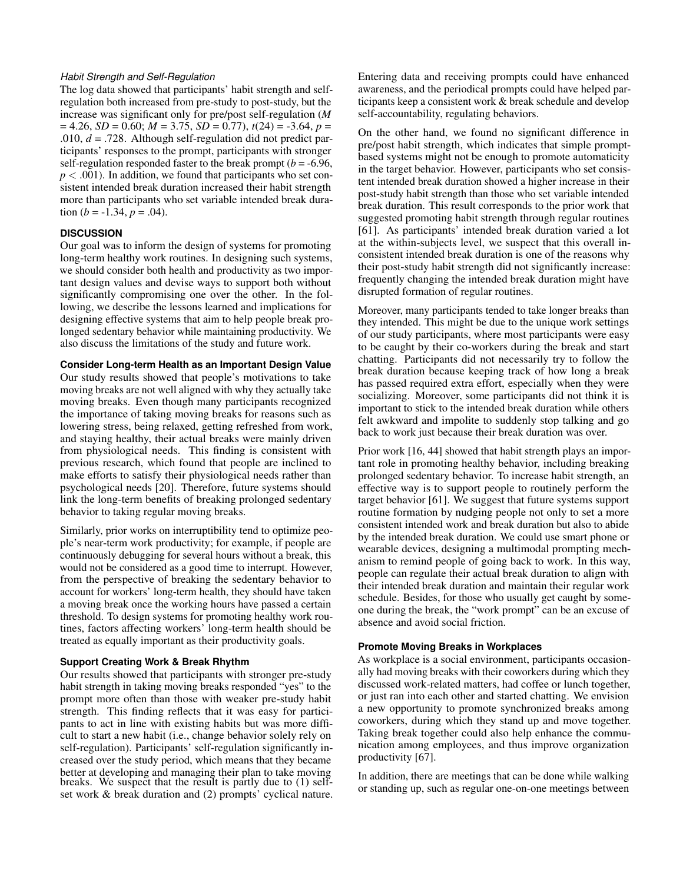#### *Habit Strength and Self-Regulation*

The log data showed that participants' habit strength and selfregulation both increased from pre-study to post-study, but the increase was significant only for pre/post self-regulation (*M*  $= 4.26$ , *SD* = 0.60; *M* = 3.75, *SD* = 0.77),  $t(24) = -3.64$ , *p* = .010, *d* = .728. Although self-regulation did not predict participants' responses to the prompt, participants with stronger self-regulation responded faster to the break prompt ( $b = -6.96$ ,  $p < .001$ ). In addition, we found that participants who set consistent intended break duration increased their habit strength more than participants who set variable intended break duration ( $b = -1.34$ ,  $p = .04$ ).

#### **DISCUSSION**

Our goal was to inform the design of systems for promoting long-term healthy work routines. In designing such systems, we should consider both health and productivity as two important design values and devise ways to support both without significantly compromising one over the other. In the following, we describe the lessons learned and implications for designing effective systems that aim to help people break prolonged sedentary behavior while maintaining productivity. We also discuss the limitations of the study and future work.

#### **Consider Long-term Health as an Important Design Value**

Our study results showed that people's motivations to take moving breaks are not well aligned with why they actually take moving breaks. Even though many participants recognized the importance of taking moving breaks for reasons such as lowering stress, being relaxed, getting refreshed from work, and staying healthy, their actual breaks were mainly driven from physiological needs. This finding is consistent with previous research, which found that people are inclined to make efforts to satisfy their physiological needs rather than psychological needs [\[20\]](#page-10-16). Therefore, future systems should link the long-term benefits of breaking prolonged sedentary behavior to taking regular moving breaks.

Similarly, prior works on interruptibility tend to optimize people's near-term work productivity; for example, if people are continuously debugging for several hours without a break, this would not be considered as a good time to interrupt. However, from the perspective of breaking the sedentary behavior to account for workers' long-term health, they should have taken a moving break once the working hours have passed a certain threshold. To design systems for promoting healthy work routines, factors affecting workers' long-term health should be treated as equally important as their productivity goals.

#### **Support Creating Work & Break Rhythm**

Our results showed that participants with stronger pre-study habit strength in taking moving breaks responded "yes" to the prompt more often than those with weaker pre-study habit strength. This finding reflects that it was easy for participants to act in line with existing habits but was more difficult to start a new habit (i.e., change behavior solely rely on self-regulation). Participants' self-regulation significantly increased over the study period, which means that they became better at developing and managing their plan to take moving breaks. We suspect that the result is partly due to (1) selfset work & break duration and (2) prompts' cyclical nature. Entering data and receiving prompts could have enhanced awareness, and the periodical prompts could have helped participants keep a consistent work & break schedule and develop self-accountability, regulating behaviors.

On the other hand, we found no significant difference in pre/post habit strength, which indicates that simple promptbased systems might not be enough to promote automaticity in the target behavior. However, participants who set consistent intended break duration showed a higher increase in their post-study habit strength than those who set variable intended break duration. This result corresponds to the prior work that suggested promoting habit strength through regular routines [\[61\]](#page-12-21). As participants' intended break duration varied a lot at the within-subjects level, we suspect that this overall inconsistent intended break duration is one of the reasons why their post-study habit strength did not significantly increase: frequently changing the intended break duration might have disrupted formation of regular routines.

Moreover, many participants tended to take longer breaks than they intended. This might be due to the unique work settings of our study participants, where most participants were easy to be caught by their co-workers during the break and start chatting. Participants did not necessarily try to follow the break duration because keeping track of how long a break has passed required extra effort, especially when they were socializing. Moreover, some participants did not think it is important to stick to the intended break duration while others felt awkward and impolite to suddenly stop talking and go back to work just because their break duration was over.

Prior work [\[16,](#page-10-5) [44\]](#page-11-5) showed that habit strength plays an important role in promoting healthy behavior, including breaking prolonged sedentary behavior. To increase habit strength, an effective way is to support people to routinely perform the target behavior [\[61\]](#page-12-21). We suggest that future systems support routine formation by nudging people not only to set a more consistent intended work and break duration but also to abide by the intended break duration. We could use smart phone or wearable devices, designing a multimodal prompting mechanism to remind people of going back to work. In this way, people can regulate their actual break duration to align with their intended break duration and maintain their regular work schedule. Besides, for those who usually get caught by someone during the break, the "work prompt" can be an excuse of absence and avoid social friction.

#### **Promote Moving Breaks in Workplaces**

As workplace is a social environment, participants occasionally had moving breaks with their coworkers during which they discussed work-related matters, had coffee or lunch together, or just ran into each other and started chatting. We envision a new opportunity to promote synchronized breaks among coworkers, during which they stand up and move together. Taking break together could also help enhance the communication among employees, and thus improve organization productivity [\[67\]](#page-13-3).

In addition, there are meetings that can be done while walking or standing up, such as regular one-on-one meetings between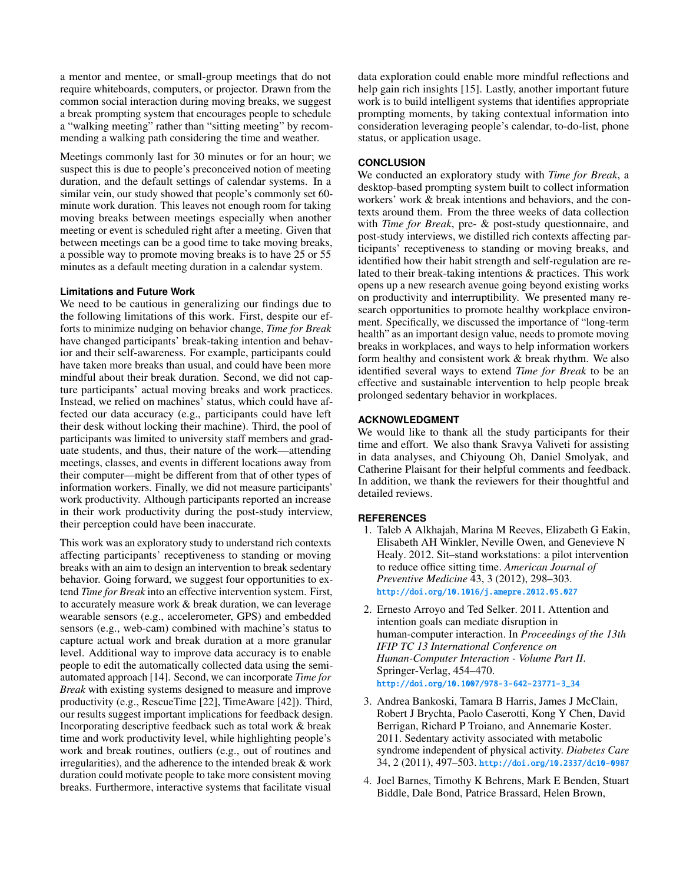a mentor and mentee, or small-group meetings that do not require whiteboards, computers, or projector. Drawn from the common social interaction during moving breaks, we suggest a break prompting system that encourages people to schedule a "walking meeting" rather than "sitting meeting" by recommending a walking path considering the time and weather.

Meetings commonly last for 30 minutes or for an hour; we suspect this is due to people's preconceived notion of meeting duration, and the default settings of calendar systems. In a similar vein, our study showed that people's commonly set 60 minute work duration. This leaves not enough room for taking moving breaks between meetings especially when another meeting or event is scheduled right after a meeting. Given that between meetings can be a good time to take moving breaks, a possible way to promote moving breaks is to have 25 or 55 minutes as a default meeting duration in a calendar system.

#### **Limitations and Future Work**

We need to be cautious in generalizing our findings due to the following limitations of this work. First, despite our efforts to minimize nudging on behavior change, *Time for Break* have changed participants' break-taking intention and behavior and their self-awareness. For example, participants could have taken more breaks than usual, and could have been more mindful about their break duration. Second, we did not capture participants' actual moving breaks and work practices. Instead, we relied on machines' status, which could have affected our data accuracy (e.g., participants could have left their desk without locking their machine). Third, the pool of participants was limited to university staff members and graduate students, and thus, their nature of the work—attending meetings, classes, and events in different locations away from their computer—might be different from that of other types of information workers. Finally, we did not measure participants' work productivity. Although participants reported an increase in their work productivity during the post-study interview, their perception could have been inaccurate.

This work was an exploratory study to understand rich contexts affecting participants' receptiveness to standing or moving breaks with an aim to design an intervention to break sedentary behavior. Going forward, we suggest four opportunities to extend *Time for Break* into an effective intervention system. First, to accurately measure work & break duration, we can leverage wearable sensors (e.g., accelerometer, GPS) and embedded sensors (e.g., web-cam) combined with machine's status to capture actual work and break duration at a more granular level. Additional way to improve data accuracy is to enable people to edit the automatically collected data using the semiautomated approach [\[14\]](#page-10-17). Second, we can incorporate *Time for Break* with existing systems designed to measure and improve productivity (e.g., RescueTime [\[22\]](#page-10-18), TimeAware [\[42\]](#page-11-19)). Third, our results suggest important implications for feedback design. Incorporating descriptive feedback such as total work & break time and work productivity level, while highlighting people's work and break routines, outliers (e.g., out of routines and irregularities), and the adherence to the intended break & work duration could motivate people to take more consistent moving breaks. Furthermore, interactive systems that facilitate visual

data exploration could enable more mindful reflections and help gain rich insights [\[15\]](#page-10-19). Lastly, another important future work is to build intelligent systems that identifies appropriate prompting moments, by taking contextual information into consideration leveraging people's calendar, to-do-list, phone status, or application usage.

#### **CONCLUSION**

We conducted an exploratory study with *Time for Break*, a desktop-based prompting system built to collect information workers' work & break intentions and behaviors, and the contexts around them. From the three weeks of data collection with *Time for Break*, pre- & post-study questionnaire, and post-study interviews, we distilled rich contexts affecting participants' receptiveness to standing or moving breaks, and identified how their habit strength and self-regulation are related to their break-taking intentions & practices. This work opens up a new research avenue going beyond existing works on productivity and interruptibility. We presented many research opportunities to promote healthy workplace environment. Specifically, we discussed the importance of "long-term health" as an important design value, needs to promote moving breaks in workplaces, and ways to help information workers form healthy and consistent work & break rhythm. We also identified several ways to extend *Time for Break* to be an effective and sustainable intervention to help people break prolonged sedentary behavior in workplaces.

#### **ACKNOWLEDGMENT**

We would like to thank all the study participants for their time and effort. We also thank Sravya Valiveti for assisting in data analyses, and Chiyoung Oh, Daniel Smolyak, and Catherine Plaisant for their helpful comments and feedback. In addition, we thank the reviewers for their thoughtful and detailed reviews.

#### <span id="page-9-2"></span>**REFERENCES**

- 1. Taleb A Alkhajah, Marina M Reeves, Elizabeth G Eakin, Elisabeth AH Winkler, Neville Owen, and Genevieve N Healy. 2012. Sit–stand workstations: a pilot intervention to reduce office sitting time. *American Journal of Preventive Medicine* 43, 3 (2012), 298–303. <http://doi.org/10.1016/j.amepre.2012.05.027>
- <span id="page-9-3"></span>2. Ernesto Arroyo and Ted Selker. 2011. Attention and intention goals can mediate disruption in human-computer interaction. In *Proceedings of the 13th IFIP TC 13 International Conference on Human-Computer Interaction - Volume Part II*. Springer-Verlag, 454–470. [http://doi.org/10.1007/978-3-642-23771-3\\_34](http://doi.org/10.1007/978-3-642-23771-3_34)
- <span id="page-9-0"></span>3. Andrea Bankoski, Tamara B Harris, James J McClain, Robert J Brychta, Paolo Caserotti, Kong Y Chen, David Berrigan, Richard P Troiano, and Annemarie Koster. 2011. Sedentary activity associated with metabolic syndrome independent of physical activity. *Diabetes Care* 34, 2 (2011), 497–503. <http://doi.org/10.2337/dc10-0987>
- <span id="page-9-1"></span>4. Joel Barnes, Timothy K Behrens, Mark E Benden, Stuart Biddle, Dale Bond, Patrice Brassard, Helen Brown,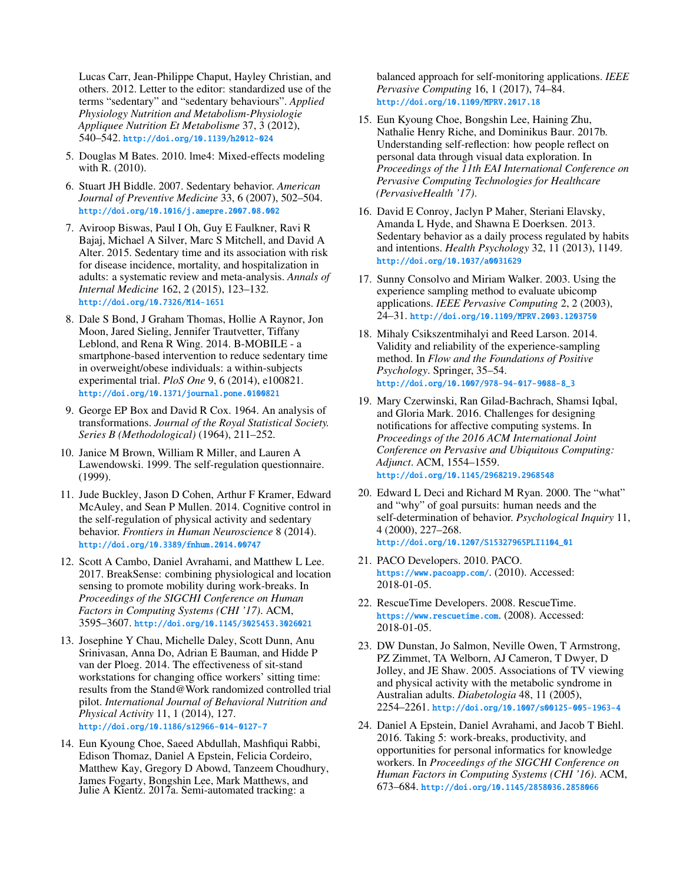Lucas Carr, Jean-Philippe Chaput, Hayley Christian, and others. 2012. Letter to the editor: standardized use of the terms "sedentary" and "sedentary behaviours". *Applied Physiology Nutrition and Metabolism-Physiologie Appliquee Nutrition Et Metabolisme* 37, 3 (2012), 540–542. <http://doi.org/10.1139/h2012-024>

- <span id="page-10-15"></span>5. Douglas M Bates. 2010. lme4: Mixed-effects modeling with R. (2010).
- <span id="page-10-4"></span>6. Stuart JH Biddle. 2007. Sedentary behavior. *American Journal of Preventive Medicine* 33, 6 (2007), 502–504. <http://doi.org/10.1016/j.amepre.2007.08.002>
- <span id="page-10-0"></span>7. Aviroop Biswas, Paul I Oh, Guy E Faulkner, Ravi R Bajaj, Michael A Silver, Marc S Mitchell, and David A Alter. 2015. Sedentary time and its association with risk for disease incidence, mortality, and hospitalization in adults: a systematic review and meta-analysis. *Annals of Internal Medicine* 162, 2 (2015), 123–132. <http://doi.org/10.7326/M14-1651>
- <span id="page-10-2"></span>8. Dale S Bond, J Graham Thomas, Hollie A Raynor, Jon Moon, Jared Sieling, Jennifer Trautvetter, Tiffany Leblond, and Rena R Wing. 2014. B-MOBILE - a smartphone-based intervention to reduce sedentary time in overweight/obese individuals: a within-subjects experimental trial. *PloS One* 9, 6 (2014), e100821. <http://doi.org/10.1371/journal.pone.0100821>
- <span id="page-10-14"></span>9. George EP Box and David R Cox. 1964. An analysis of transformations. *Journal of the Royal Statistical Society. Series B (Methodological)* (1964), 211–252.
- <span id="page-10-12"></span>10. Janice M Brown, William R Miller, and Lauren A Lawendowski. 1999. The self-regulation questionnaire. (1999).
- <span id="page-10-13"></span>11. Jude Buckley, Jason D Cohen, Arthur F Kramer, Edward McAuley, and Sean P Mullen. 2014. Cognitive control in the self-regulation of physical activity and sedentary behavior. *Frontiers in Human Neuroscience* 8 (2014). <http://doi.org/10.3389/fnhum.2014.00747>
- <span id="page-10-3"></span>12. Scott A Cambo, Daniel Avrahami, and Matthew L Lee. 2017. BreakSense: combining physiological and location sensing to promote mobility during work-breaks. In *Proceedings of the SIGCHI Conference on Human Factors in Computing Systems (CHI '17)*. ACM, 3595–3607. <http://doi.org/10.1145/3025453.3026021>
- <span id="page-10-6"></span>13. Josephine Y Chau, Michelle Daley, Scott Dunn, Anu Srinivasan, Anna Do, Adrian E Bauman, and Hidde P van der Ploeg. 2014. The effectiveness of sit-stand workstations for changing office workers' sitting time: results from the Stand@Work randomized controlled trial pilot. *International Journal of Behavioral Nutrition and Physical Activity* 11, 1 (2014), 127. <http://doi.org/10.1186/s12966-014-0127-7>
- <span id="page-10-17"></span>14. Eun Kyoung Choe, Saeed Abdullah, Mashfiqui Rabbi, Edison Thomaz, Daniel A Epstein, Felicia Cordeiro, Matthew Kay, Gregory D Abowd, Tanzeem Choudhury, James Fogarty, Bongshin Lee, Mark Matthews, and Julie A Kientz. 2017a. Semi-automated tracking: a

balanced approach for self-monitoring applications. *IEEE Pervasive Computing* 16, 1 (2017), 74–84. <http://doi.org/10.1109/MPRV.2017.18>

- <span id="page-10-19"></span>15. Eun Kyoung Choe, Bongshin Lee, Haining Zhu, Nathalie Henry Riche, and Dominikus Baur. 2017b. Understanding self-reflection: how people reflect on personal data through visual data exploration. In *Proceedings of the 11th EAI International Conference on Pervasive Computing Technologies for Healthcare (PervasiveHealth '17)*.
- <span id="page-10-5"></span>16. David E Conroy, Jaclyn P Maher, Steriani Elavsky, Amanda L Hyde, and Shawna E Doerksen. 2013. Sedentary behavior as a daily process regulated by habits and intentions. *Health Psychology* 32, 11 (2013), 1149. <http://doi.org/10.1037/a0031629>
- <span id="page-10-9"></span>17. Sunny Consolvo and Miriam Walker. 2003. Using the experience sampling method to evaluate ubicomp applications. *IEEE Pervasive Computing* 2, 2 (2003), 24–31. <http://doi.org/10.1109/MPRV.2003.1203750>
- <span id="page-10-11"></span>18. Mihaly Csikszentmihalyi and Reed Larson. 2014. Validity and reliability of the experience-sampling method. In *Flow and the Foundations of Positive Psychology*. Springer, 35–54. [http://doi.org/10.1007/978-94-017-9088-8\\_3](http://doi.org/10.1007/978-94-017-9088-8_3)
- <span id="page-10-8"></span>19. Mary Czerwinski, Ran Gilad-Bachrach, Shamsi Iqbal, and Gloria Mark. 2016. Challenges for designing notifications for affective computing systems. In *Proceedings of the 2016 ACM International Joint Conference on Pervasive and Ubiquitous Computing: Adjunct*. ACM, 1554–1559. <http://doi.org/10.1145/2968219.2968548>
- <span id="page-10-16"></span>20. Edward L Deci and Richard M Ryan. 2000. The "what" and "why" of goal pursuits: human needs and the self-determination of behavior. *Psychological Inquiry* 11, 4 (2000), 227–268. [http://doi.org/10.1207/S15327965PLI1104\\_01](http://doi.org/10.1207/S15327965PLI1104_01)
- <span id="page-10-10"></span>21. PACO Developers. 2010. PACO. <https://www.pacoapp.com/>. (2010). Accessed: 2018-01-05.
- <span id="page-10-18"></span>22. RescueTime Developers. 2008. RescueTime. <https://www.rescuetime.com>. (2008). Accessed: 2018-01-05.
- <span id="page-10-1"></span>23. DW Dunstan, Jo Salmon, Neville Owen, T Armstrong, PZ Zimmet, TA Welborn, AJ Cameron, T Dwyer, D Jolley, and JE Shaw. 2005. Associations of TV viewing and physical activity with the metabolic syndrome in Australian adults. *Diabetologia* 48, 11 (2005), 2254–2261. <http://doi.org/10.1007/s00125-005-1963-4>
- <span id="page-10-7"></span>24. Daniel A Epstein, Daniel Avrahami, and Jacob T Biehl. 2016. Taking 5: work-breaks, productivity, and opportunities for personal informatics for knowledge workers. In *Proceedings of the SIGCHI Conference on Human Factors in Computing Systems (CHI '16)*. ACM, 673–684. <http://doi.org/10.1145/2858036.2858066>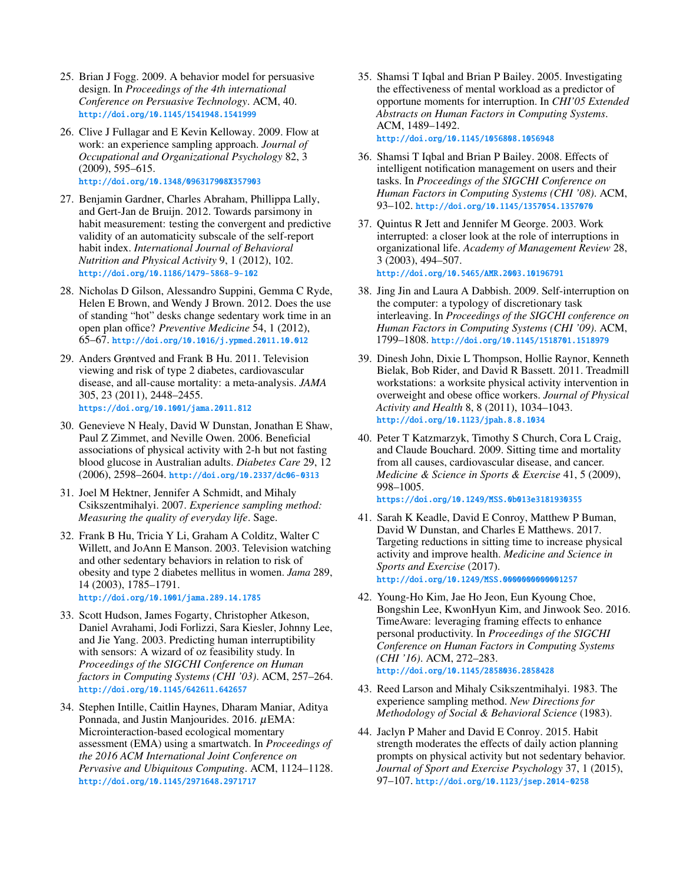- <span id="page-11-13"></span>25. Brian J Fogg. 2009. A behavior model for persuasive design. In *Proceedings of the 4th international Conference on Persuasive Technology*. ACM, 40. <http://doi.org/10.1145/1541948.1541999>
- <span id="page-11-16"></span>26. Clive J Fullagar and E Kevin Kelloway. 2009. Flow at work: an experience sampling approach. *Journal of Occupational and Organizational Psychology* 82, 3 (2009), 595–615.

<http://doi.org/10.1348/096317908X357903>

- <span id="page-11-18"></span>27. Benjamin Gardner, Charles Abraham, Phillippa Lally, and Gert-Jan de Bruijn. 2012. Towards parsimony in habit measurement: testing the convergent and predictive validity of an automaticity subscale of the self-report habit index. *International Journal of Behavioral Nutrition and Physical Activity* 9, 1 (2012), 102. <http://doi.org/10.1186/1479-5868-9-102>
- <span id="page-11-9"></span>28. Nicholas D Gilson, Alessandro Suppini, Gemma C Ryde, Helen E Brown, and Wendy J Brown. 2012. Does the use of standing "hot" desks change sedentary work time in an open plan office? *Preventive Medicine* 54, 1 (2012), 65–67. <http://doi.org/10.1016/j.ypmed.2011.10.012>
- <span id="page-11-0"></span>29. Anders Grøntved and Frank B Hu. 2011. Television viewing and risk of type 2 diabetes, cardiovascular disease, and all-cause mortality: a meta-analysis. *JAMA* 305, 23 (2011), 2448–2455. <https://doi.org/10.1001/jama.2011.812>
- <span id="page-11-1"></span>30. Genevieve N Healy, David W Dunstan, Jonathan E Shaw, Paul Z Zimmet, and Neville Owen. 2006. Beneficial associations of physical activity with 2-h but not fasting blood glucose in Australian adults. *Diabetes Care* 29, 12 (2006), 2598–2604. <http://doi.org/10.2337/dc06-0313>
- <span id="page-11-15"></span>31. Joel M Hektner, Jennifer A Schmidt, and Mihaly Csikszentmihalyi. 2007. *Experience sampling method: Measuring the quality of everyday life*. Sage.
- <span id="page-11-6"></span>32. Frank B Hu, Tricia Y Li, Graham A Colditz, Walter C Willett, and JoAnn E Manson. 2003. Television watching and other sedentary behaviors in relation to risk of obesity and type 2 diabetes mellitus in women. *Jama* 289, 14 (2003), 1785–1791.

<http://doi.org/10.1001/jama.289.14.1785>

- <span id="page-11-11"></span>33. Scott Hudson, James Fogarty, Christopher Atkeson, Daniel Avrahami, Jodi Forlizzi, Sara Kiesler, Johnny Lee, and Jie Yang. 2003. Predicting human interruptibility with sensors: A wizard of oz feasibility study. In *Proceedings of the SIGCHI Conference on Human factors in Computing Systems (CHI '03)*. ACM, 257–264. <http://doi.org/10.1145/642611.642657>
- <span id="page-11-17"></span>34. Stephen Intille, Caitlin Haynes, Dharam Maniar, Aditya Ponnada, and Justin Manjourides. 2016. µEMA: Microinteraction-based ecological momentary assessment (EMA) using a smartwatch. In *Proceedings of the 2016 ACM International Joint Conference on Pervasive and Ubiquitous Computing*. ACM, 1124–1128. <http://doi.org/10.1145/2971648.2971717>
- <span id="page-11-12"></span>35. Shamsi T Iqbal and Brian P Bailey. 2005. Investigating the effectiveness of mental workload as a predictor of opportune moments for interruption. In *CHI'05 Extended Abstracts on Human Factors in Computing Systems*. ACM, 1489–1492. <http://doi.org/10.1145/1056808.1056948>
- <span id="page-11-10"></span>36. Shamsi T Iqbal and Brian P Bailey. 2008. Effects of intelligent notification management on users and their tasks. In *Proceedings of the SIGCHI Conference on Human Factors in Computing Systems (CHI '08)*. ACM, 93–102. <http://doi.org/10.1145/1357054.1357070>
- <span id="page-11-3"></span>37. Quintus R Jett and Jennifer M George. 2003. Work interrupted: a closer look at the role of interruptions in organizational life. *Academy of Management Review* 28, 3 (2003), 494–507. <http://doi.org/10.5465/AMR.2003.10196791>
- <span id="page-11-4"></span>38. Jing Jin and Laura A Dabbish. 2009. Self-interruption on the computer: a typology of discretionary task interleaving. In *Proceedings of the SIGCHI conference on Human Factors in Computing Systems (CHI '09)*. ACM, 1799–1808. <http://doi.org/10.1145/1518701.1518979>
- <span id="page-11-8"></span>39. Dinesh John, Dixie L Thompson, Hollie Raynor, Kenneth Bielak, Bob Rider, and David R Bassett. 2011. Treadmill workstations: a worksite physical activity intervention in overweight and obese office workers. *Journal of Physical Activity and Health* 8, 8 (2011), 1034–1043. <http://doi.org/10.1123/jpah.8.8.1034>
- <span id="page-11-7"></span>40. Peter T Katzmarzyk, Timothy S Church, Cora L Craig, and Claude Bouchard. 2009. Sitting time and mortality from all causes, cardiovascular disease, and cancer. *Medicine & Science in Sports & Exercise* 41, 5 (2009), 998–1005.

<https://doi.org/10.1249/MSS.0b013e3181930355>

- <span id="page-11-2"></span>41. Sarah K Keadle, David E Conroy, Matthew P Buman, David W Dunstan, and Charles E Matthews. 2017. Targeting reductions in sitting time to increase physical activity and improve health. *Medicine and Science in Sports and Exercise* (2017). <http://doi.org/10.1249/MSS.0000000000001257>
- <span id="page-11-19"></span>42. Young-Ho Kim, Jae Ho Jeon, Eun Kyoung Choe, Bongshin Lee, KwonHyun Kim, and Jinwook Seo. 2016. TimeAware: leveraging framing effects to enhance personal productivity. In *Proceedings of the SIGCHI Conference on Human Factors in Computing Systems (CHI '16)*. ACM, 272–283. <http://doi.org/10.1145/2858036.2858428>
- <span id="page-11-14"></span>43. Reed Larson and Mihaly Csikszentmihalyi. 1983. The experience sampling method. *New Directions for Methodology of Social & Behavioral Science* (1983).
- <span id="page-11-5"></span>44. Jaclyn P Maher and David E Conroy. 2015. Habit strength moderates the effects of daily action planning prompts on physical activity but not sedentary behavior. *Journal of Sport and Exercise Psychology* 37, 1 (2015), 97–107. <http://doi.org/10.1123/jsep.2014-0258>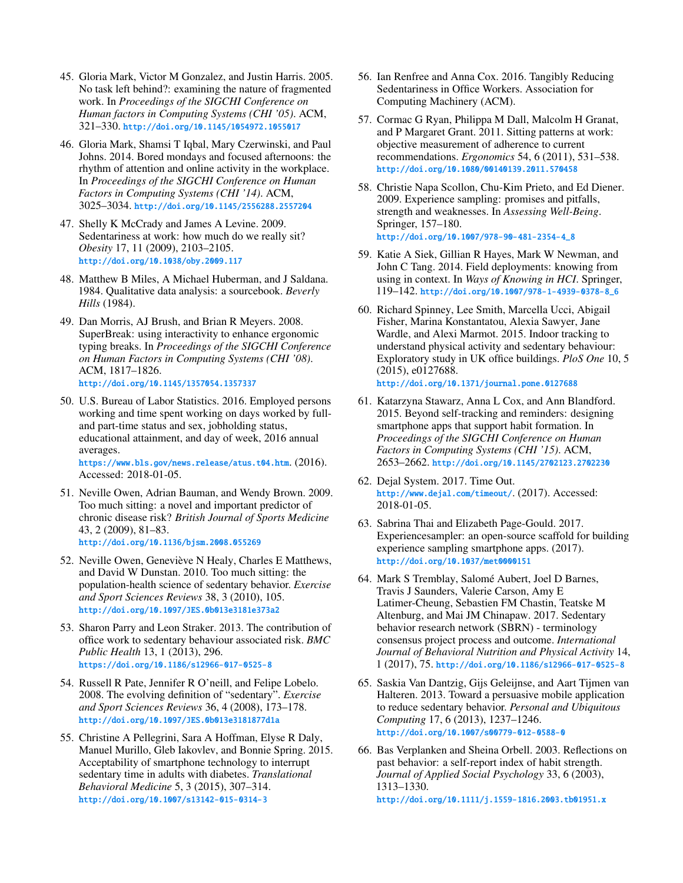- <span id="page-12-7"></span>45. Gloria Mark, Victor M Gonzalez, and Justin Harris. 2005. No task left behind?: examining the nature of fragmented work. In *Proceedings of the SIGCHI Conference on Human factors in Computing Systems (CHI '05)*. ACM, 321–330. <http://doi.org/10.1145/1054972.1055017>
- <span id="page-12-15"></span>46. Gloria Mark, Shamsi T Iqbal, Mary Czerwinski, and Paul Johns. 2014. Bored mondays and focused afternoons: the rhythm of attention and online activity in the workplace. In *Proceedings of the SIGCHI Conference on Human Factors in Computing Systems (CHI '14)*. ACM, 3025–3034. <http://doi.org/10.1145/2556288.2557204>
- <span id="page-12-0"></span>47. Shelly K McCrady and James A Levine. 2009. Sedentariness at work: how much do we really sit? *Obesity* 17, 11 (2009), 2103–2105. <http://doi.org/10.1038/oby.2009.117>
- <span id="page-12-20"></span>48. Matthew B Miles, A Michael Huberman, and J Saldana. 1984. Qualitative data analysis: a sourcebook. *Beverly Hills* (1984).
- <span id="page-12-6"></span>49. Dan Morris, AJ Brush, and Brian R Meyers. 2008. SuperBreak: using interactivity to enhance ergonomic typing breaks. In *Proceedings of the SIGCHI Conference on Human Factors in Computing Systems (CHI '08)*. ACM, 1817–1826. <http://doi.org/10.1145/1357054.1357337>
- <span id="page-12-11"></span>50. U.S. Bureau of Labor Statistics. 2016. Employed persons working and time spent working on days worked by fulland part-time status and sex, jobholding status, educational attainment, and day of week, 2016 annual averages. <https://www.bls.gov/news.release/atus.t04.htm>. (2016).

Accessed: 2018-01-05.

- <span id="page-12-10"></span>51. Neville Owen, Adrian Bauman, and Wendy Brown. 2009. Too much sitting: a novel and important predictor of chronic disease risk? *British Journal of Sports Medicine* 43, 2 (2009), 81–83. <http://doi.org/10.1136/bjsm.2008.055269>
- <span id="page-12-3"></span>52. Neville Owen, Geneviève N Healy, Charles E Matthews, and David W Dunstan. 2010. Too much sitting: the population-health science of sedentary behavior. *Exercise and Sport Sciences Reviews* 38, 3 (2010), 105. <http://doi.org/10.1097/JES.0b013e3181e373a2>
- <span id="page-12-1"></span>53. Sharon Parry and Leon Straker. 2013. The contribution of office work to sedentary behaviour associated risk. *BMC Public Health* 13, 1 (2013), 296. <https://doi.org/10.1186/s12966-017-0525-8>
- <span id="page-12-9"></span>54. Russell R Pate, Jennifer R O'neill, and Felipe Lobelo. 2008. The evolving definition of "sedentary". *Exercise and Sport Sciences Reviews* 36, 4 (2008), 173–178. <http://doi.org/10.1097/JES.0b013e3181877d1a>
- <span id="page-12-14"></span>55. Christine A Pellegrini, Sara A Hoffman, Elyse R Daly, Manuel Murillo, Gleb Iakovlev, and Bonnie Spring. 2015. Acceptability of smartphone technology to interrupt sedentary time in adults with diabetes. *Translational Behavioral Medicine* 5, 3 (2015), 307–314. <http://doi.org/10.1007/s13142-015-0314-3>
- <span id="page-12-5"></span>56. Ian Renfree and Anna Cox. 2016. Tangibly Reducing Sedentariness in Office Workers. Association for Computing Machinery (ACM).
- <span id="page-12-12"></span>57. Cormac G Ryan, Philippa M Dall, Malcolm H Granat, and P Margaret Grant. 2011. Sitting patterns at work: objective measurement of adherence to current recommendations. *Ergonomics* 54, 6 (2011), 531–538. <http://doi.org/10.1080/00140139.2011.570458>
- <span id="page-12-17"></span>58. Christie Napa Scollon, Chu-Kim Prieto, and Ed Diener. 2009. Experience sampling: promises and pitfalls, strength and weaknesses. In *Assessing Well-Being*. Springer, 157–180. [http://doi.org/10.1007/978-90-481-2354-4\\_8](http://doi.org/10.1007/978-90-481-2354-4_8)
- <span id="page-12-18"></span>59. Katie A Siek, Gillian R Hayes, Mark W Newman, and John C Tang. 2014. Field deployments: knowing from using in context. In *Ways of Knowing in HCI*. Springer, 119–142. [http://doi.org/10.1007/978-1-4939-0378-8\\_6](http://doi.org/10.1007/978-1-4939-0378-8_6)
- <span id="page-12-2"></span>60. Richard Spinney, Lee Smith, Marcella Ucci, Abigail Fisher, Marina Konstantatou, Alexia Sawyer, Jane Wardle, and Alexi Marmot. 2015. Indoor tracking to understand physical activity and sedentary behaviour: Exploratory study in UK office buildings. *PloS One* 10, 5 (2015), e0127688. <http://doi.org/10.1371/journal.pone.0127688>
- <span id="page-12-21"></span>61. Katarzyna Stawarz, Anna L Cox, and Ann Blandford. 2015. Beyond self-tracking and reminders: designing smartphone apps that support habit formation. In *Proceedings of the SIGCHI Conference on Human Factors in Computing Systems (CHI '15)*. ACM, 2653–2662. <http://doi.org/10.1145/2702123.2702230>
- <span id="page-12-13"></span>62. Dejal System. 2017. Time Out. <http://www.dejal.com/timeout/>. (2017). Accessed: 2018-01-05.
- <span id="page-12-16"></span>63. Sabrina Thai and Elizabeth Page-Gould. 2017. Experiencesampler: an open-source scaffold for building experience sampling smartphone apps. (2017). <http://doi.org/10.1037/met0000151>
- <span id="page-12-8"></span>64. Mark S Tremblay, Salomé Aubert, Joel D Barnes, Travis J Saunders, Valerie Carson, Amy E Latimer-Cheung, Sebastien FM Chastin, Teatske M Altenburg, and Mai JM Chinapaw. 2017. Sedentary behavior research network (SBRN) - terminology consensus project process and outcome. *International Journal of Behavioral Nutrition and Physical Activity* 14, 1 (2017), 75. <http://doi.org/10.1186/s12966-017-0525-8>
- <span id="page-12-4"></span>65. Saskia Van Dantzig, Gijs Geleijnse, and Aart Tijmen van Halteren. 2013. Toward a persuasive mobile application to reduce sedentary behavior. *Personal and Ubiquitous Computing* 17, 6 (2013), 1237–1246. <http://doi.org/10.1007/s00779-012-0588-0>
- <span id="page-12-19"></span>66. Bas Verplanken and Sheina Orbell. 2003. Reflections on past behavior: a self-report index of habit strength. *Journal of Applied Social Psychology* 33, 6 (2003), 1313–1330. <http://doi.org/10.1111/j.1559-1816.2003.tb01951.x>